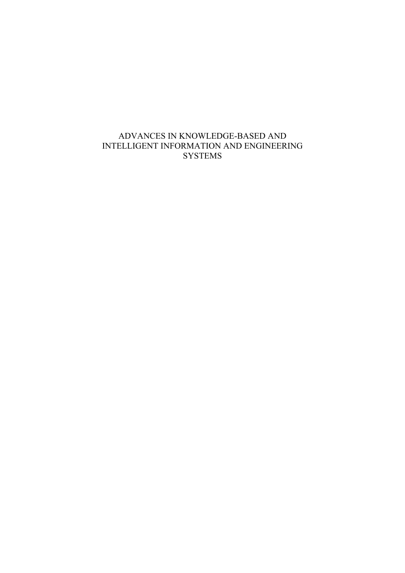### ADVANCES IN KNOWLEDGE-BASED AND INTELLIGENT INFORMATION AND ENGINEERING **SYSTEMS**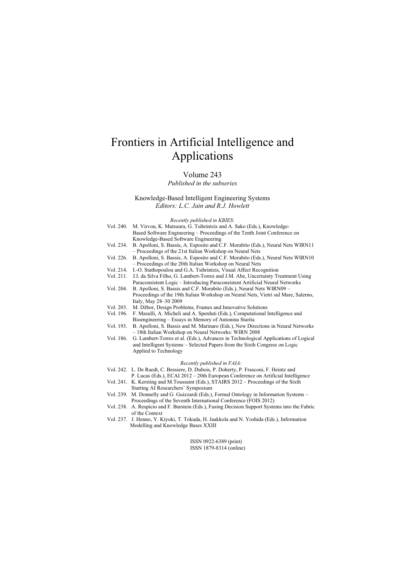# Frontiers in Artificial Intelligence and Applications

#### Volume 243

*Published in the subseries* 

Knowledge-Based Intelligent Engineering Systems *Editors: L.C. Jain and R.J. Howlett* 

*Recently published in KBIES:* 

| Vol. 240.                   | M. Virvou, K. Matsuura, G. Tsihrintzis and A. Sako (Eds.), Knowledge-                   |
|-----------------------------|-----------------------------------------------------------------------------------------|
|                             | Based Software Engineering – Proceedings of the Tenth Joint Conference on               |
|                             | Knowledge-Based Software Engineering                                                    |
| Vol. 234.                   | B. Apolloni, S. Bassis, A. Esposito and C.F. Morabito (Eds.), Neural Nets WIRN11        |
|                             | - Proceedings of the 21st Italian Workshop on Neural Nets                               |
| Vol. 226.                   | B. Apolloni, S. Bassis, A. Esposito and C.F. Morabito (Eds.), Neural Nets WIRN10        |
|                             | - Proceedings of the 20th Italian Workshop on Neural Nets                               |
| Vol. 214.                   | I.-O. Stathopoulou and G.A. Tsihrintzis, Visual Affect Recognition                      |
| Vol. 211.                   | J.I. da Silva Filho, G. Lambert-Torres and J.M. Abe, Uncertainty Treatment Using        |
|                             | Paraconsistent Logic – Introducing Paraconsistent Artificial Neural Networks            |
| Vol. 204.                   | B. Apolloni, S. Bassis and C.F. Morabito (Eds.), Neural Nets WIRN09 -                   |
|                             | Proceedings of the 19th Italian Workshop on Neural Nets, Vietri sul Mare, Salerno,      |
|                             | Italy, May 28-30 2009                                                                   |
| Vol. 203.                   | M. Džbor, Design Problems, Frames and Innovative Solutions                              |
| Vol. 196.                   | F. Masulli, A. Micheli and A. Sperduti (Eds.), Computational Intelligence and           |
|                             | Bioengineering – Essays in Memory of Antonina Starita                                   |
| Vol. 193.                   | B. Apolloni, S. Bassis and M. Marinaro (Eds.), New Directions in Neural Networks        |
|                             | - 18th Italian Workshop on Neural Networks: WIRN 2008                                   |
| Vol. 186.                   | G. Lambert-Torres et al. (Eds.), Advances in Technological Applications of Logical      |
|                             | and Intelligent Systems – Selected Papers from the Sixth Congress on Logic              |
|                             | Applied to Technology                                                                   |
|                             |                                                                                         |
| Recently published in FAIA: |                                                                                         |
|                             | Vol. 242. L. De Raedt, C. Bessiere, D. Dubois, P. Doherty, P. Frasconi, F. Heintz and   |
|                             | P. Lucas (Eds.), ECAI 2012 - 20th European Conference on Artificial Intelligence        |
|                             | Vol. 241. K. Kersting and M.Toussaint (Eds.), STAIRS 2012 - Proceedings of the Sixth    |
|                             | Starting AI Researchers' Symposium                                                      |
|                             | Vol. 239. M. Donnelly and G. Guizzardi (Eds.), Formal Ontology in Information Systems – |
|                             | Proceedings of the Seventh International Conference (FOIS 2012)                         |
| Vol. 238.                   | A. Respício and F. Burstein (Eds.), Fusing Decision Support Systems into the Fabric     |
|                             | of the Context                                                                          |
| Vol. 237.                   | J. Henno, Y. Kiyoki, T. Tokuda, H. Jaakkola and N. Yoshida (Eds.), Information          |
|                             | Modelling and Knowledge Bases XXIII                                                     |

ISSN 0922-6389 (print) ISSN 1879-8314 (online)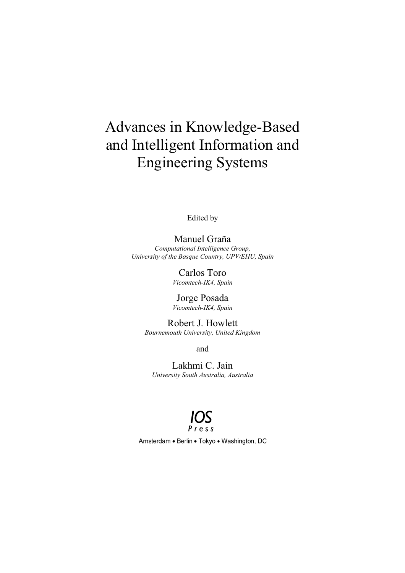# Advances in Knowledge-Bas and Intelligent Information and Engineering Systems re-Based;<br>tion and<br>ms<br>*a*<br>*dom*

Edited by

*University of the Basque Country, UPV/EHU, Spain* Ma anuel Gra yaña *Computational Intelligence Group,* 

> C Carlos To ro *Vico omtech-IK4, S Spain*

> Jorge Posada *Vico omtech-IK4, S Spain*

*Bo ournemouth U University, U United Kingd dom* Robert J. Howlett

and

Lakhmi C. Jain *University S South Austral lia, Australia*



Amsterdam • Berlin • Tokyo • Washington, DC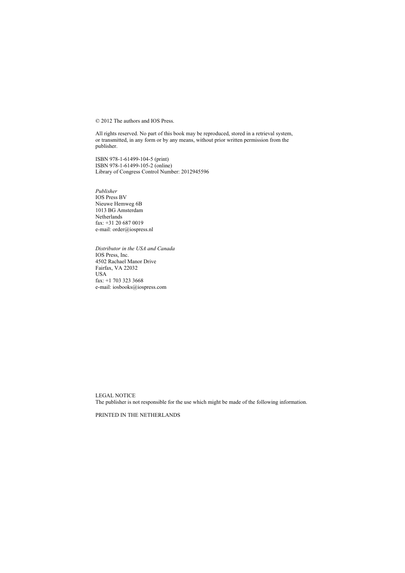© 2012 The authors and IOS Press.

All rights reserved. No part of this book may be reproduced, stored in a retrieval system, or transmitted, in any form or by any means, without prior written permission from the publisher.

ISBN 978-1-61499-104-5 (print) ISBN 978-1-61499-105-2 (online) Library of Congress Control Number: 2012945596

*Publisher*  IOS Press BV Nieuwe Hemweg 6B 1013 BG Amsterdam Netherlands fax: +31 20 687 0019 e-mail: order@iospress.nl

*Distributor in the USA and Canada*  IOS Press, Inc. 4502 Rachael Manor Drive Fairfax, VA 22032 USA fax: +1 703 323 3668 e-mail: iosbooks@iospress.com

LEGAL NOTICE The publisher is not responsible for the use which might be made of the following information.

PRINTED IN THE NETHERLANDS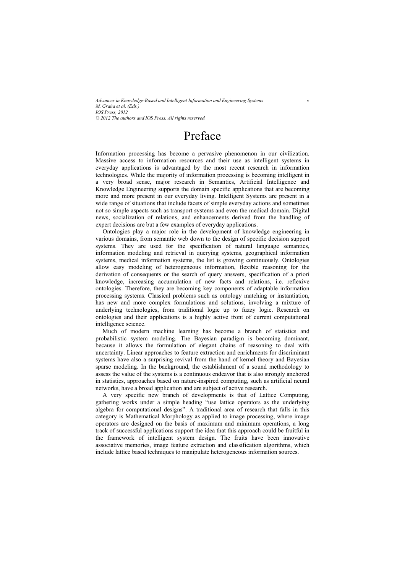## Preface

Information processing has become a pervasive phenomenon in our civilization. Massive access to information resources and their use as intelligent systems in everyday applications is advantaged by the most recent research in information technologies. While the majority of information processing is becoming intelligent in a very broad sense, major research in Semantics, Artificial Intelligence and Knowledge Engineering supports the domain specific applications that are becoming more and more present in our everyday living. Intelligent Systems are present in a wide range of situations that include facets of simple everyday actions and sometimes not so simple aspects such as transport systems and even the medical domain. Digital news, socialization of relations, and enhancements derived from the handling of expert decisions are but a few examples of everyday applications.

Ontologies play a major role in the development of knowledge engineering in various domains, from semantic web down to the design of specific decision support systems. They are used for the specification of natural language semantics, information modeling and retrieval in querying systems, geographical information systems, medical information systems, the list is growing continuously. Ontologies allow easy modeling of heterogeneous information, flexible reasoning for the derivation of consequents or the search of query answers, specification of a priori knowledge, increasing accumulation of new facts and relations, i.e. reflexive ontologies. Therefore, they are becoming key components of adaptable information processing systems. Classical problems such as ontology matching or instantiation, has new and more complex formulations and solutions, involving a mixture of underlying technologies, from traditional logic up to fuzzy logic. Research on ontologies and their applications is a highly active front of current computational intelligence science.

Much of modern machine learning has become a branch of statistics and probabilistic system modeling. The Bayesian paradigm is becoming dominant, because it allows the formulation of elegant chains of reasoning to deal with uncertainty. Linear approaches to feature extraction and enrichments for discriminant systems have also a surprising revival from the hand of kernel theory and Bayesian sparse modeling. In the background, the establishment of a sound methodology to assess the value of the systems is a continuous endeavor that is also strongly anchored in statistics, approaches based on nature-inspired computing, such as artificial neural networks, have a broad application and are subject of active research.

A very specific new branch of developments is that of Lattice Computing, gathering works under a simple heading "use lattice operators as the underlying algebra for computational designs". A traditional area of research that falls in this category is Mathematical Morphology as applied to image processing, where image operators are designed on the basis of maximum and minimum operations, a long track of successful applications support the idea that this approach could be fruitful in the framework of intelligent system design. The fruits have been innovative associative memories, image feature extraction and classification algorithms, which include lattice based techniques to manipulate heterogeneous information sources.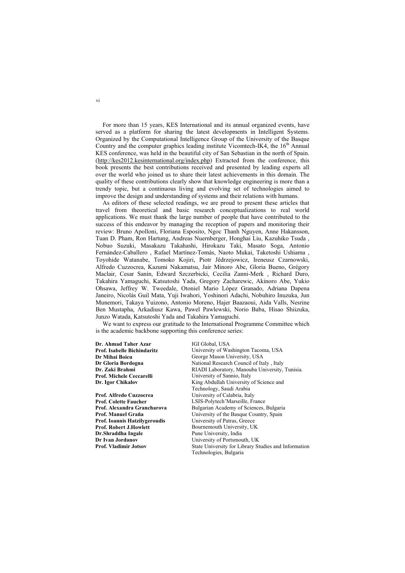For more than 15 years, KES International and its annual organized events, have served as a platform for sharing the latest developments in Intelligent Systems. Organized by the Computational Intelligence Group of the University of the Basque Country and the computer graphics leading institute Vicomtech-IK4, the  $16<sup>th</sup>$  Annual KES conference, was held in the beautiful city of San Sebastian in the north of Spain. (http://kes2012.kesinternational.org/index.php) Extracted from the conference, this book presents the best contributions received and presented by leading experts all over the world who joined us to share their latest achievements in this domain. The quality of these contributions clearly show that knowledge engineering is more than a trendy topic, but a continuous living and evolving set of technologies aimed to improve the design and understanding of systems and their relations with humans.

As editors of these selected readings, we are proud to present these articles that travel from theoretical and basic research conceptualizations to real world applications. We must thank the large number of people that have contributed to the success of this endeavor by managing the reception of papers and monitoring their review: Bruno Apolloni, Floriana Esposito, Ngoc Thanh Nguyen, Anne Hakansson, Tuan D. Pham, Ron Hartung, Andreas Nuernberger, Honghai Liu, Kazuhiko Tsuda , Nobuo Suzuki, Masakazu Takahashi, Hirokazu Taki, Masato Soga, Antonio Fernández-Caballero , Rafael Martínez-Tomás, Naoto Mukai, Taketoshi Ushiama , Toyohide Watanabe, Tomoko Kojiri, Piotr Jêdrzejowicz, Ireneusz Czarnowski, Alfredo Cuzzocrea, Kazumi Nakamatsu, Jair Minoro Abe, Gloria Bueno, Grégory Maclair, Cesar Sanín, Edward Szczerbicki, Cecilia Zanni-Merk , Richard Duro, Takahira Yamaguchi, Katsutoshi Yada, Gregory Zacharewic, Akinoro Abe, Yukio Ohsawa, Jeffrey W. Tweedale, Otoniel Mario López Granado, Adriana Dapena Janeiro, Nicolás Guil Mata, Yuji Iwahori, Yoshinori Adachi, Nobuhiro Inuzuka, Jun Munemori, Takaya Yuizono, Antonio Moreno, Hajer Baazaoui, Aida Valls, Nesrine Ben Mustapha, Arkadiusz Kawa, Pawel Pawlewski, Norio Baba, Hisao Shiizuka, Junzo Watada, Katsutoshi Yada and Takahira Yamaguchi.

We want to express our gratitude to the International Programme Committee which is the academic backbone supporting this conference series:

**Dr. Ahmad Taher Azar** IGI Global, USA **University of Washington Tacoma, USA Dr Mihai Boicu George Mason University, USA Dr Gloria Bordogna Communist Science Administrative Council of Italy , Italy <br>
<b>Dr. Zaki Brahmi Communistry** RIADI Laboratory, Manouba University, RIADI Laboratory, Manouba University, Tunisia. **Prof. Michele Ceccarelli Prof. Michele Ceccarelli Dr. Izonet Chicago Chicago Chicago Chicago Chicago Chicago Chicago Chicago Chicago Chicago Chicago Chicago Chicago Chicago Chicago Chicago Chicago Chicago Chicago Chic** King Abdullah University of Science and Technology, Saudi Arabia **Prof. Alfredo Cuzzocrea Victorian Constanting Calabria, Italy Prof. Colette Faucher <b>Constanting Constanting Constanting Constanting Prof.** Colette Faucher **Lating Constanting Constanting Constanting Constanting Constan Prof. Colette Faucher**  LSIS-Polytech'Marseille, France<br> **Prof. Alexandra Grancharova** Bulgarian Academy of Sciences. **Prof. Alexandra Grancharova Bulgarian Academy of Sciences, Bulgaria**<br>**Prof. Manuel Graña Bulgarian** University of the Basque Country. Spain **Prof. Manual University of the Basque Country, Spain University of Patras. Greece Prof. Ioannis Hatzilvgeroudis Prof. Robert J.Howlett Bournemouth University, UK**<br> **Dr.Shraddha Ingale** Pune University, India Pune University, India **Dr Ivan Jordanov Dr Ivan Jordanov University of Portsmouth, UK Prof. Vladimir Jotsov State University for Library State University for Library State University for Library State University for Library State Univer State University for Library Studies and Information** Technologies, Bulgaria